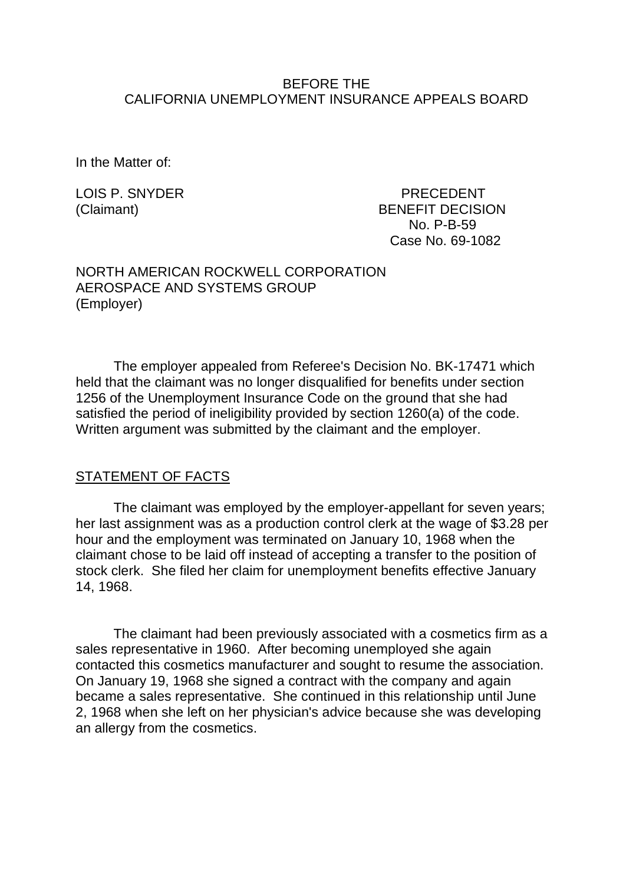#### BEFORE THE CALIFORNIA UNEMPLOYMENT INSURANCE APPEALS BOARD

In the Matter of:

LOIS P. SNYDER PRECEDENT (Claimant) BENEFIT DECISION No. P-B-59 Case No. 69-1082

#### NORTH AMERICAN ROCKWELL CORPORATION AEROSPACE AND SYSTEMS GROUP (Employer)

The employer appealed from Referee's Decision No. BK-17471 which held that the claimant was no longer disqualified for benefits under section 1256 of the Unemployment Insurance Code on the ground that she had satisfied the period of ineligibility provided by section 1260(a) of the code. Written argument was submitted by the claimant and the employer.

### STATEMENT OF FACTS

The claimant was employed by the employer-appellant for seven years; her last assignment was as a production control clerk at the wage of \$3.28 per hour and the employment was terminated on January 10, 1968 when the claimant chose to be laid off instead of accepting a transfer to the position of stock clerk. She filed her claim for unemployment benefits effective January 14, 1968.

The claimant had been previously associated with a cosmetics firm as a sales representative in 1960. After becoming unemployed she again contacted this cosmetics manufacturer and sought to resume the association. On January 19, 1968 she signed a contract with the company and again became a sales representative. She continued in this relationship until June 2, 1968 when she left on her physician's advice because she was developing an allergy from the cosmetics.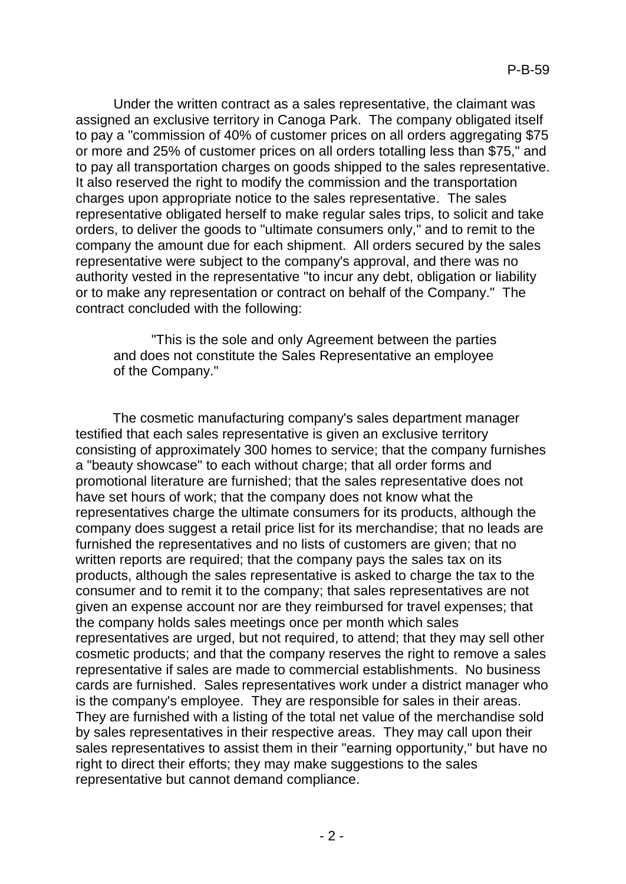Under the written contract as a sales representative, the claimant was assigned an exclusive territory in Canoga Park. The company obligated itself to pay a "commission of 40% of customer prices on all orders aggregating \$75 or more and 25% of customer prices on all orders totalling less than \$75," and to pay all transportation charges on goods shipped to the sales representative. It also reserved the right to modify the commission and the transportation charges upon appropriate notice to the sales representative. The sales representative obligated herself to make regular sales trips, to solicit and take orders, to deliver the goods to "ultimate consumers only," and to remit to the company the amount due for each shipment. All orders secured by the sales representative were subject to the company's approval, and there was no authority vested in the representative "to incur any debt, obligation or liability or to make any representation or contract on behalf of the Company." The contract concluded with the following:

"This is the sole and only Agreement between the parties and does not constitute the Sales Representative an employee of the Company."

The cosmetic manufacturing company's sales department manager testified that each sales representative is given an exclusive territory consisting of approximately 300 homes to service; that the company furnishes a "beauty showcase" to each without charge; that all order forms and promotional literature are furnished; that the sales representative does not have set hours of work; that the company does not know what the representatives charge the ultimate consumers for its products, although the company does suggest a retail price list for its merchandise; that no leads are furnished the representatives and no lists of customers are given; that no written reports are required; that the company pays the sales tax on its products, although the sales representative is asked to charge the tax to the consumer and to remit it to the company; that sales representatives are not given an expense account nor are they reimbursed for travel expenses; that the company holds sales meetings once per month which sales representatives are urged, but not required, to attend; that they may sell other cosmetic products; and that the company reserves the right to remove a sales representative if sales are made to commercial establishments. No business cards are furnished. Sales representatives work under a district manager who is the company's employee. They are responsible for sales in their areas. They are furnished with a listing of the total net value of the merchandise sold by sales representatives in their respective areas. They may call upon their sales representatives to assist them in their "earning opportunity," but have no right to direct their efforts; they may make suggestions to the sales representative but cannot demand compliance.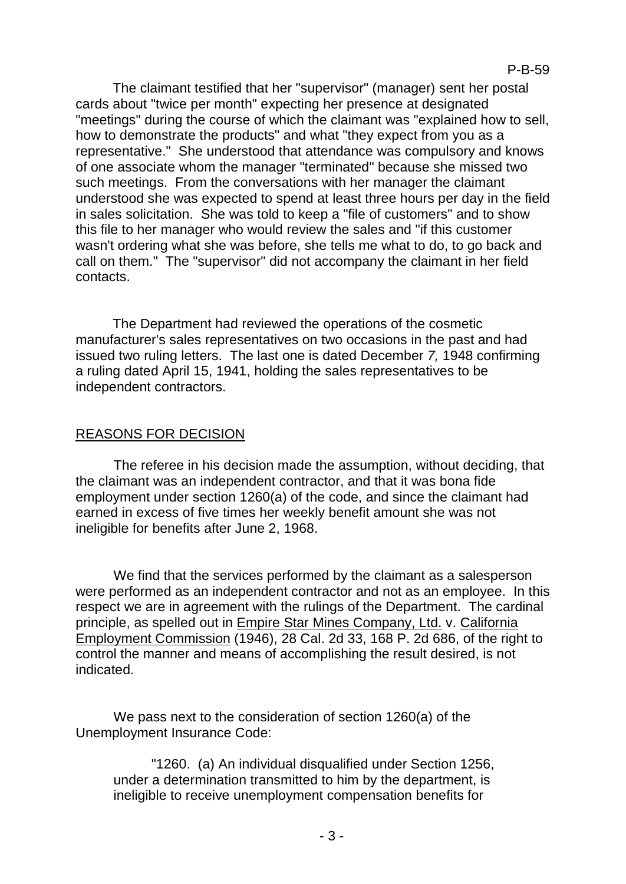The claimant testified that her "supervisor" (manager) sent her postal cards about "twice per month" expecting her presence at designated "meetings" during the course of which the claimant was "explained how to sell, how to demonstrate the products" and what "they expect from you as a representative." She understood that attendance was compulsory and knows of one associate whom the manager "terminated" because she missed two such meetings. From the conversations with her manager the claimant understood she was expected to spend at least three hours per day in the field in sales solicitation. She was told to keep a "file of customers" and to show this file to her manager who would review the sales and "if this customer wasn't ordering what she was before, she tells me what to do, to go back and call on them." The "supervisor" did not accompany the claimant in her field contacts.

The Department had reviewed the operations of the cosmetic manufacturer's sales representatives on two occasions in the past and had issued two ruling letters. The last one is dated December *7,* 1948 confirming a ruling dated April 15, 1941, holding the sales representatives to be independent contractors.

# REASONS FOR DECISION

The referee in his decision made the assumption, without deciding, that the claimant was an independent contractor, and that it was bona fide employment under section 1260(a) of the code, and since the claimant had earned in excess of five times her weekly benefit amount she was not ineligible for benefits after June 2, 1968.

We find that the services performed by the claimant as a salesperson were performed as an independent contractor and not as an employee. In this respect we are in agreement with the rulings of the Department. The cardinal principle, as spelled out in Empire Star Mines Company, Ltd. v. California Employment Commission (1946), 28 Cal. 2d 33, 168 P. 2d 686, of the right to control the manner and means of accomplishing the result desired, is not indicated.

We pass next to the consideration of section 1260(a) of the Unemployment Insurance Code:

"1260. (a) An individual disqualified under Section 1256, under a determination transmitted to him by the department, is ineligible to receive unemployment compensation benefits for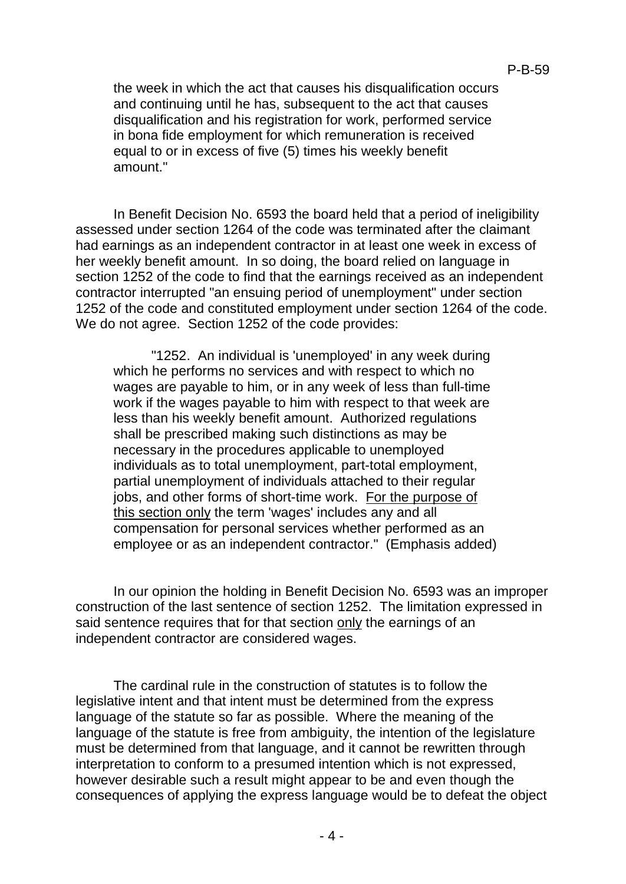the week in which the act that causes his disqualification occurs and continuing until he has, subsequent to the act that causes disqualification and his registration for work, performed service in bona fide employment for which remuneration is received equal to or in excess of five (5) times his weekly benefit amount."

In Benefit Decision No. 6593 the board held that a period of ineligibility assessed under section 1264 of the code was terminated after the claimant had earnings as an independent contractor in at least one week in excess of her weekly benefit amount. In so doing, the board relied on language in section 1252 of the code to find that the earnings received as an independent contractor interrupted "an ensuing period of unemployment" under section 1252 of the code and constituted employment under section 1264 of the code. We do not agree. Section 1252 of the code provides:

"1252. An individual is 'unemployed' in any week during which he performs no services and with respect to which no wages are payable to him, or in any week of less than full-time work if the wages payable to him with respect to that week are less than his weekly benefit amount. Authorized regulations shall be prescribed making such distinctions as may be necessary in the procedures applicable to unemployed individuals as to total unemployment, part-total employment, partial unemployment of individuals attached to their regular jobs, and other forms of short-time work. For the purpose of this section only the term 'wages' includes any and all compensation for personal services whether performed as an employee or as an independent contractor." (Emphasis added)

In our opinion the holding in Benefit Decision No. 6593 was an improper construction of the last sentence of section 1252. The limitation expressed in said sentence requires that for that section only the earnings of an independent contractor are considered wages.

The cardinal rule in the construction of statutes is to follow the legislative intent and that intent must be determined from the express language of the statute so far as possible. Where the meaning of the language of the statute is free from ambiguity, the intention of the legislature must be determined from that language, and it cannot be rewritten through interpretation to conform to a presumed intention which is not expressed, however desirable such a result might appear to be and even though the consequences of applying the express language would be to defeat the object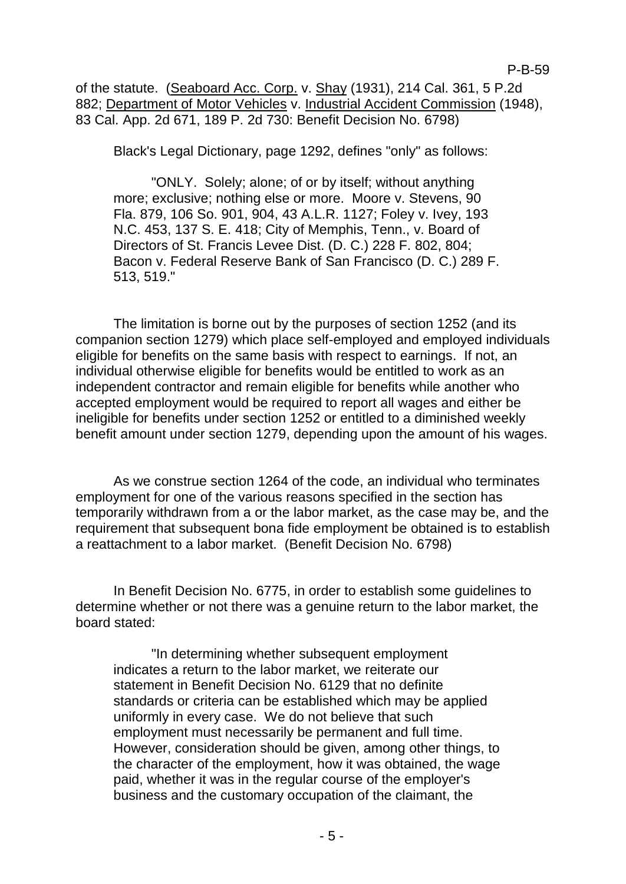of the statute. (Seaboard Acc. Corp. v. Shay (1931), 214 Cal. 361, 5 P.2d 882; Department of Motor Vehicles v. Industrial Accident Commission (1948), 83 Cal. App. 2d 671, 189 P. 2d 730: Benefit Decision No. 6798)

Black's Legal Dictionary, page 1292, defines "only" as follows:

"ONLY. Solely; alone; of or by itself; without anything more; exclusive; nothing else or more. Moore v. Stevens, 90 Fla. 879, 106 So. 901, 904, 43 A.L.R. 1127; Foley v. Ivey, 193 N.C. 453, 137 S. E. 418; City of Memphis, Tenn., v. Board of Directors of St. Francis Levee Dist. (D. C.) 228 F. 802, 804; Bacon v. Federal Reserve Bank of San Francisco (D. C.) 289 F. 513, 519."

The limitation is borne out by the purposes of section 1252 (and its companion section 1279) which place self-employed and employed individuals eligible for benefits on the same basis with respect to earnings. If not, an individual otherwise eligible for benefits would be entitled to work as an independent contractor and remain eligible for benefits while another who accepted employment would be required to report all wages and either be ineligible for benefits under section 1252 or entitled to a diminished weekly benefit amount under section 1279, depending upon the amount of his wages.

As we construe section 1264 of the code, an individual who terminates employment for one of the various reasons specified in the section has temporarily withdrawn from a or the labor market, as the case may be, and the requirement that subsequent bona fide employment be obtained is to establish a reattachment to a labor market. (Benefit Decision No. 6798)

In Benefit Decision No. 6775, in order to establish some guidelines to determine whether or not there was a genuine return to the labor market, the board stated:

"In determining whether subsequent employment indicates a return to the labor market, we reiterate our statement in Benefit Decision No. 6129 that no definite standards or criteria can be established which may be applied uniformly in every case. We do not believe that such employment must necessarily be permanent and full time. However, consideration should be given, among other things, to the character of the employment, how it was obtained, the wage paid, whether it was in the regular course of the employer's business and the customary occupation of the claimant, the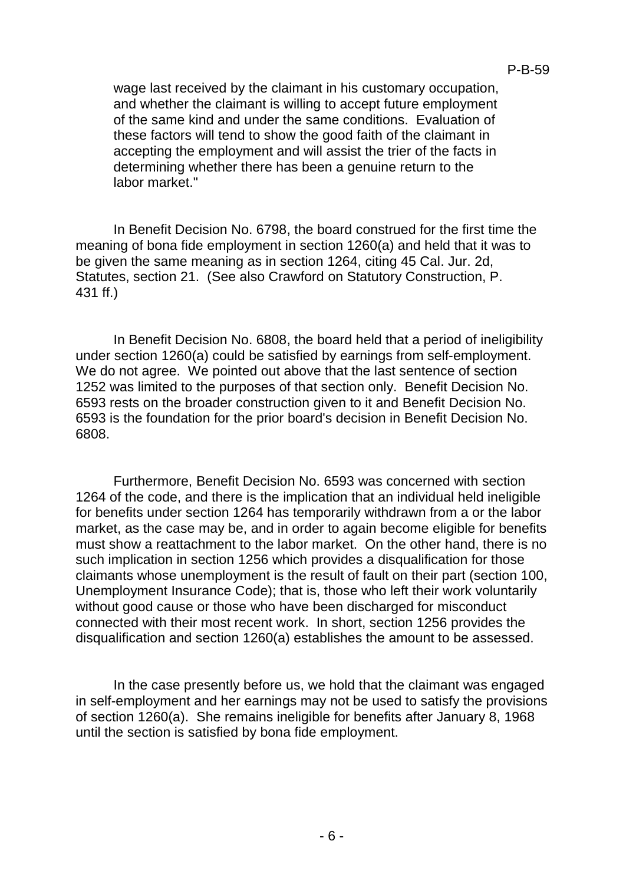wage last received by the claimant in his customary occupation, and whether the claimant is willing to accept future employment of the same kind and under the same conditions. Evaluation of these factors will tend to show the good faith of the claimant in accepting the employment and will assist the trier of the facts in determining whether there has been a genuine return to the labor market."

In Benefit Decision No. 6798, the board construed for the first time the meaning of bona fide employment in section 1260(a) and held that it was to be given the same meaning as in section 1264, citing 45 Cal. Jur. 2d, Statutes, section 21. (See also Crawford on Statutory Construction, P. 431 ff.)

In Benefit Decision No. 6808, the board held that a period of ineligibility under section 1260(a) could be satisfied by earnings from self-employment. We do not agree. We pointed out above that the last sentence of section 1252 was limited to the purposes of that section only. Benefit Decision No. 6593 rests on the broader construction given to it and Benefit Decision No. 6593 is the foundation for the prior board's decision in Benefit Decision No. 6808.

Furthermore, Benefit Decision No. 6593 was concerned with section 1264 of the code, and there is the implication that an individual held ineligible for benefits under section 1264 has temporarily withdrawn from a or the labor market, as the case may be, and in order to again become eligible for benefits must show a reattachment to the labor market. On the other hand, there is no such implication in section 1256 which provides a disqualification for those claimants whose unemployment is the result of fault on their part (section 100, Unemployment Insurance Code); that is, those who left their work voluntarily without good cause or those who have been discharged for misconduct connected with their most recent work. In short, section 1256 provides the disqualification and section 1260(a) establishes the amount to be assessed.

In the case presently before us, we hold that the claimant was engaged in self-employment and her earnings may not be used to satisfy the provisions of section 1260(a). She remains ineligible for benefits after January 8, 1968 until the section is satisfied by bona fide employment.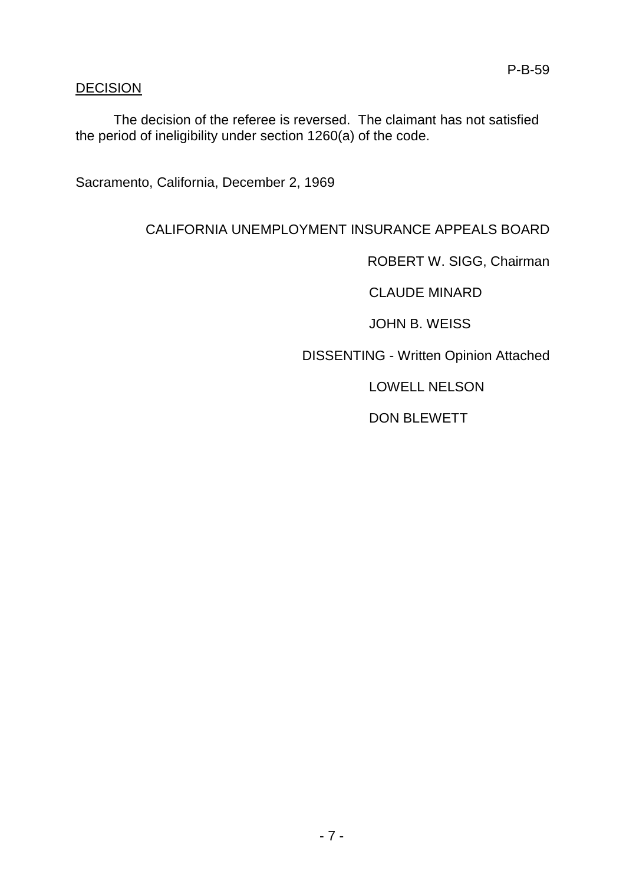### **DECISION**

The decision of the referee is reversed. The claimant has not satisfied the period of ineligibility under section 1260(a) of the code.

Sacramento, California, December 2, 1969

### CALIFORNIA UNEMPLOYMENT INSURANCE APPEALS BOARD

ROBERT W. SIGG, Chairman

CLAUDE MINARD

JOHN B. WEISS

DISSENTING - Written Opinion Attached

LOWELL NELSON

DON BLEWETT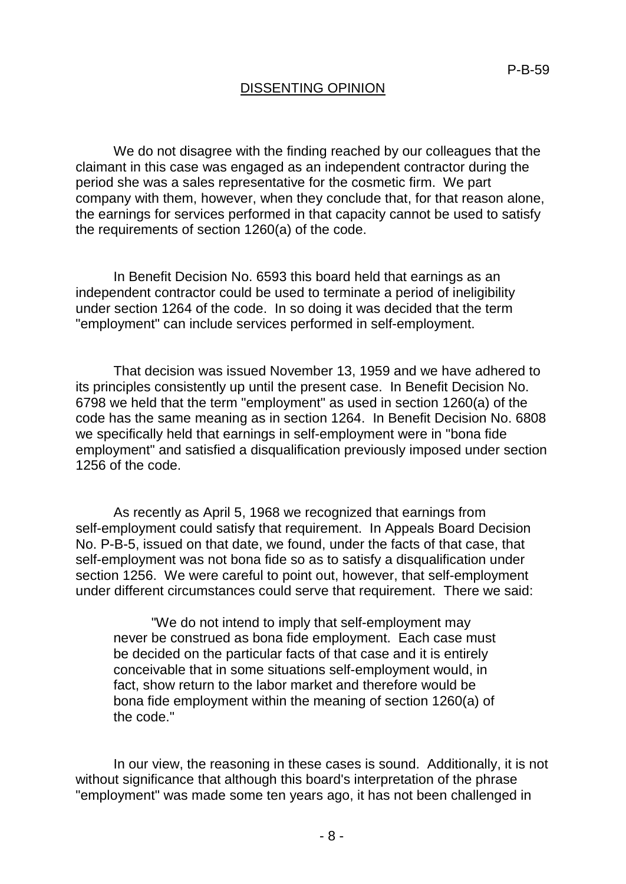### DISSENTING OPINION

We do not disagree with the finding reached by our colleagues that the claimant in this case was engaged as an independent contractor during the period she was a sales representative for the cosmetic firm. We part company with them, however, when they conclude that, for that reason alone, the earnings for services performed in that capacity cannot be used to satisfy the requirements of section 1260(a) of the code.

In Benefit Decision No. 6593 this board held that earnings as an independent contractor could be used to terminate a period of ineligibility under section 1264 of the code. In so doing it was decided that the term "employment" can include services performed in self-employment.

That decision was issued November 13, 1959 and we have adhered to its principles consistently up until the present case. In Benefit Decision No. 6798 we held that the term "employment" as used in section 1260(a) of the code has the same meaning as in section 1264. In Benefit Decision No. 6808 we specifically held that earnings in self-employment were in "bona fide employment" and satisfied a disqualification previously imposed under section 1256 of the code.

As recently as April 5, 1968 we recognized that earnings from self-employment could satisfy that requirement. In Appeals Board Decision No. P-B-5, issued on that date, we found, under the facts of that case, that self-employment was not bona fide so as to satisfy a disqualification under section 1256. We were careful to point out, however, that self-employment under different circumstances could serve that requirement. There we said:

"We do not intend to imply that self-employment may never be construed as bona fide employment. Each case must be decided on the particular facts of that case and it is entirely conceivable that in some situations self-employment would, in fact, show return to the labor market and therefore would be bona fide employment within the meaning of section 1260(a) of the code."

In our view, the reasoning in these cases is sound. Additionally, it is not without significance that although this board's interpretation of the phrase "employment" was made some ten years ago, it has not been challenged in